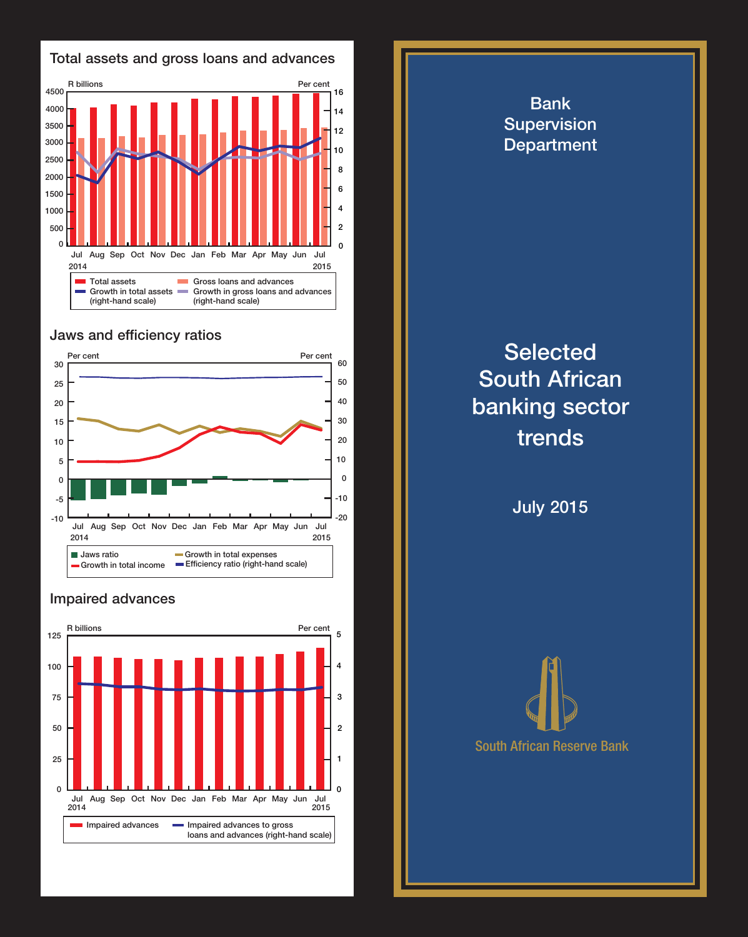

## Jaws and efficiency ratios



## Impaired advances



Supervision **Department Selected** South African banking sector trends

Bank